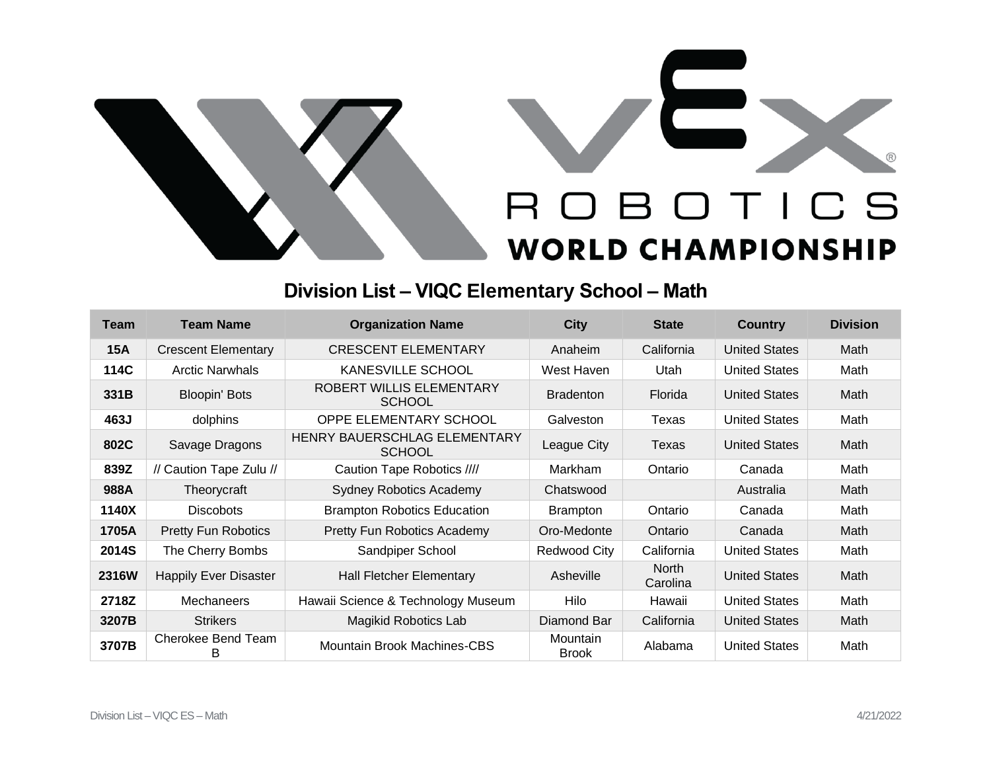



## **Division List – VIQC Elementary School – Math**

| <b>Team</b>  | <b>Team Name</b>             | <b>Organization Name</b>                      | <b>City</b>              | <b>State</b>      | <b>Country</b>       | <b>Division</b> |
|--------------|------------------------------|-----------------------------------------------|--------------------------|-------------------|----------------------|-----------------|
| <b>15A</b>   | <b>Crescent Elementary</b>   | <b>CRESCENT ELEMENTARY</b>                    | Anaheim                  | California        | <b>United States</b> | Math            |
| 114C         | <b>Arctic Narwhals</b>       | KANESVILLE SCHOOL                             | West Haven               | Utah              | <b>United States</b> | Math            |
| 331B         | <b>Bloopin' Bots</b>         | ROBERT WILLIS ELEMENTARY<br><b>SCHOOL</b>     | <b>Bradenton</b>         | Florida           | <b>United States</b> | Math            |
| 463J         | dolphins                     | OPPE ELEMENTARY SCHOOL                        | Galveston                | Texas             | <b>United States</b> | Math            |
| 802C         | Savage Dragons               | HENRY BAUERSCHLAG ELEMENTARY<br><b>SCHOOL</b> | League City              | Texas             | <b>United States</b> | Math            |
| 839Z         | // Caution Tape Zulu //      | Caution Tape Robotics ////                    | Markham                  | Ontario           | Canada               | Math            |
| 988A         | Theorycraft                  | <b>Sydney Robotics Academy</b>                | Chatswood                |                   | Australia            | Math            |
| 1140X        | <b>Discobots</b>             | <b>Brampton Robotics Education</b>            | <b>Brampton</b>          | Ontario           | Canada               | Math            |
| 1705A        | <b>Pretty Fun Robotics</b>   | <b>Pretty Fun Robotics Academy</b>            | Oro-Medonte              | Ontario           | Canada               | Math            |
| 2014S        | The Cherry Bombs             | Sandpiper School                              | Redwood City             | California        | <b>United States</b> | Math            |
| <b>2316W</b> | <b>Happily Ever Disaster</b> | <b>Hall Fletcher Elementary</b>               | Asheville                | North<br>Carolina | <b>United States</b> | Math            |
| 2718Z        | <b>Mechaneers</b>            | Hawaii Science & Technology Museum            | Hilo                     | Hawaii            | <b>United States</b> | Math            |
| 3207B        | <b>Strikers</b>              | Magikid Robotics Lab                          | Diamond Bar              | California        | <b>United States</b> | Math            |
| 3707B        | Cherokee Bend Team<br>В      | Mountain Brook Machines-CBS                   | Mountain<br><b>Brook</b> | Alabama           | <b>United States</b> | Math            |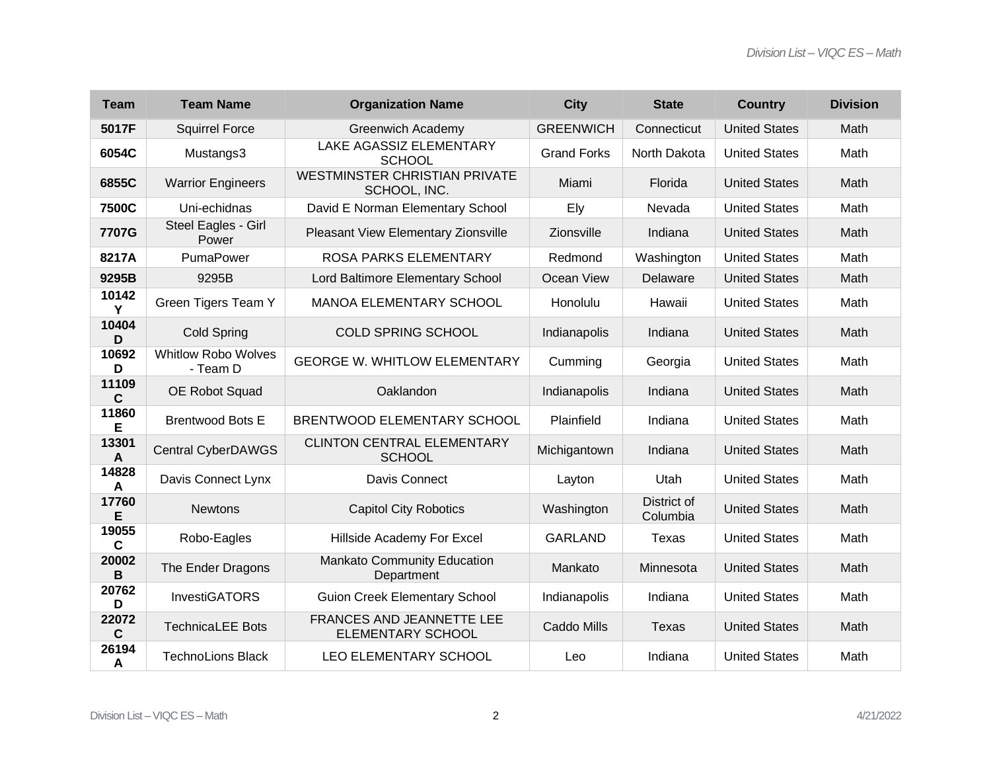| <b>Team</b>           | <b>Team Name</b>                       | <b>Organization Name</b>                             | <b>City</b>        | <b>State</b>            | <b>Country</b>       | <b>Division</b> |
|-----------------------|----------------------------------------|------------------------------------------------------|--------------------|-------------------------|----------------------|-----------------|
| 5017F                 | <b>Squirrel Force</b>                  | <b>Greenwich Academy</b>                             | <b>GREENWICH</b>   | Connecticut             | <b>United States</b> | Math            |
| 6054C                 | Mustangs3                              | LAKE AGASSIZ ELEMENTARY<br><b>SCHOOL</b>             | <b>Grand Forks</b> | North Dakota            | <b>United States</b> | Math            |
| 6855C                 | <b>Warrior Engineers</b>               | <b>WESTMINSTER CHRISTIAN PRIVATE</b><br>SCHOOL, INC. | Miami              | Florida                 | <b>United States</b> | Math            |
| 7500C                 | Uni-echidnas                           | David E Norman Elementary School                     | Ely                | Nevada                  | <b>United States</b> | Math            |
| 7707G                 | Steel Eagles - Girl<br>Power           | Pleasant View Elementary Zionsville                  | Zionsville         | Indiana                 | <b>United States</b> | Math            |
| 8217A                 | PumaPower                              | <b>ROSA PARKS ELEMENTARY</b>                         | Redmond            | Washington              | <b>United States</b> | Math            |
| 9295B                 | 9295B                                  | Lord Baltimore Elementary School                     | Ocean View         | Delaware                | <b>United States</b> | Math            |
| 10142<br>Y            | Green Tigers Team Y                    | <b>MANOA ELEMENTARY SCHOOL</b>                       | Honolulu           | Hawaii                  | <b>United States</b> | Math            |
| 10404<br>D            | <b>Cold Spring</b>                     | <b>COLD SPRING SCHOOL</b>                            | Indianapolis       | Indiana                 | <b>United States</b> | Math            |
| 10692<br>D            | <b>Whitlow Robo Wolves</b><br>- Team D | <b>GEORGE W. WHITLOW ELEMENTARY</b>                  | Cumming            | Georgia                 | <b>United States</b> | Math            |
| 11109<br>$\mathbf c$  | OE Robot Squad                         | Oaklandon                                            | Indianapolis       | Indiana                 | <b>United States</b> | Math            |
| 11860<br>Е            | <b>Brentwood Bots E</b>                | BRENTWOOD ELEMENTARY SCHOOL                          | Plainfield         | Indiana                 | <b>United States</b> | Math            |
| 13301<br>$\mathbf{A}$ | <b>Central CyberDAWGS</b>              | <b>CLINTON CENTRAL ELEMENTARY</b><br><b>SCHOOL</b>   | Michigantown       | Indiana                 | <b>United States</b> | Math            |
| 14828<br>$\mathsf{A}$ | Davis Connect Lynx                     | Davis Connect                                        | Layton             | Utah                    | <b>United States</b> | Math            |
| 17760<br>Е            | <b>Newtons</b>                         | <b>Capitol City Robotics</b>                         | Washington         | District of<br>Columbia | <b>United States</b> | Math            |
| 19055<br>C            | Robo-Eagles                            | Hillside Academy For Excel                           | <b>GARLAND</b>     | Texas                   | <b>United States</b> | Math            |
| 20002<br>B            | The Ender Dragons                      | Mankato Community Education<br>Department            | Mankato            | Minnesota               | <b>United States</b> | Math            |
| 20762<br>D            | <b>InvestiGATORS</b>                   | <b>Guion Creek Elementary School</b>                 | Indianapolis       | Indiana                 | <b>United States</b> | Math            |
| 22072<br>$\mathbf c$  | <b>TechnicaLEE Bots</b>                | FRANCES AND JEANNETTE LEE<br>ELEMENTARY SCHOOL       | Caddo Mills        | Texas                   | <b>United States</b> | Math            |
| 26194<br>A            | <b>TechnoLions Black</b>               | LEO ELEMENTARY SCHOOL                                | Leo                | Indiana                 | <b>United States</b> | Math            |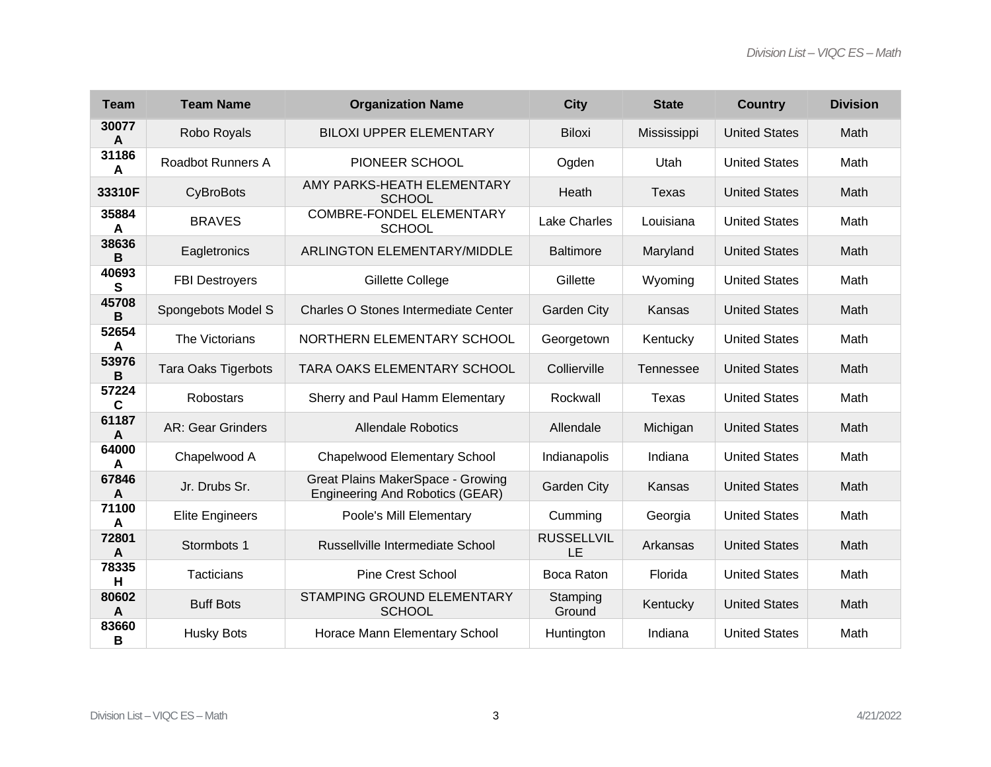| <b>Team</b> | <b>Team Name</b>           | <b>Organization Name</b>                                             | <b>City</b>             | <b>State</b>     | <b>Country</b>       | <b>Division</b> |
|-------------|----------------------------|----------------------------------------------------------------------|-------------------------|------------------|----------------------|-----------------|
| 30077<br>A  | Robo Royals                | <b>BILOXI UPPER ELEMENTARY</b>                                       | <b>Biloxi</b>           | Mississippi      | <b>United States</b> | Math            |
| 31186<br>A  | <b>Roadbot Runners A</b>   | PIONEER SCHOOL                                                       | Ogden                   | Utah             | <b>United States</b> | Math            |
| 33310F      | CyBroBots                  | AMY PARKS-HEATH ELEMENTARY<br><b>SCHOOL</b>                          | Heath                   | Texas            | <b>United States</b> | Math            |
| 35884<br>A  | <b>BRAVES</b>              | <b>COMBRE-FONDEL ELEMENTARY</b><br><b>SCHOOL</b>                     | <b>Lake Charles</b>     | Louisiana        | <b>United States</b> | Math            |
| 38636<br>В  | Eagletronics               | <b>ARLINGTON ELEMENTARY/MIDDLE</b>                                   | <b>Baltimore</b>        | Maryland         | <b>United States</b> | Math            |
| 40693<br>s  | <b>FBI Destroyers</b>      | Gillette College                                                     | Gillette                | Wyoming          | <b>United States</b> | Math            |
| 45708<br>B  | Spongebots Model S         | Charles O Stones Intermediate Center                                 | <b>Garden City</b>      | Kansas           | <b>United States</b> | Math            |
| 52654<br>A  | The Victorians             | NORTHERN ELEMENTARY SCHOOL                                           | Georgetown              | Kentucky         | <b>United States</b> | Math            |
| 53976<br>B  | <b>Tara Oaks Tigerbots</b> | TARA OAKS ELEMENTARY SCHOOL                                          | Collierville            | <b>Tennessee</b> | <b>United States</b> | Math            |
| 57224<br>C  | Robostars                  | Sherry and Paul Hamm Elementary                                      | Rockwall                | Texas            | <b>United States</b> | Math            |
| 61187<br>A  | <b>AR: Gear Grinders</b>   | <b>Allendale Robotics</b>                                            | Allendale               | Michigan         | <b>United States</b> | Math            |
| 64000<br>A  | Chapelwood A               | <b>Chapelwood Elementary School</b>                                  | Indianapolis            | Indiana          | <b>United States</b> | Math            |
| 67846<br>A  | Jr. Drubs Sr.              | Great Plains MakerSpace - Growing<br>Engineering And Robotics (GEAR) | <b>Garden City</b>      | Kansas           | <b>United States</b> | Math            |
| 71100<br>A  | <b>Elite Engineers</b>     | Poole's Mill Elementary                                              | Cumming                 | Georgia          | <b>United States</b> | Math            |
| 72801<br>A  | Stormbots 1                | Russellville Intermediate School                                     | <b>RUSSELLVIL</b><br>LE | Arkansas         | <b>United States</b> | Math            |
| 78335<br>н  | Tacticians                 | <b>Pine Crest School</b>                                             | Boca Raton              | Florida          | <b>United States</b> | Math            |
| 80602<br>A  | <b>Buff Bots</b>           | STAMPING GROUND ELEMENTARY<br><b>SCHOOL</b>                          | Stamping<br>Ground      | Kentucky         | <b>United States</b> | Math            |
| 83660<br>в  | <b>Husky Bots</b>          | Horace Mann Elementary School                                        | Huntington              | Indiana          | <b>United States</b> | Math            |